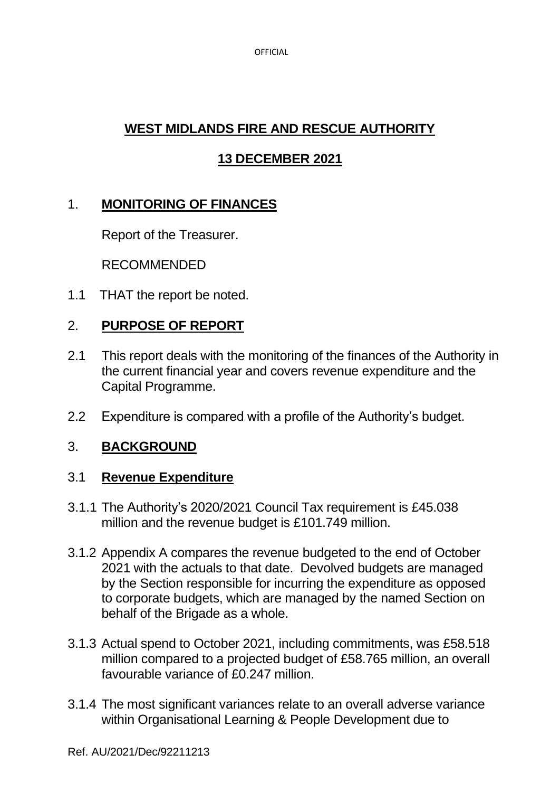OFFICIAL

# **WEST MIDLANDS FIRE AND RESCUE AUTHORITY**

# **13 DECEMBER 2021**

# 1. **MONITORING OF FINANCES**

Report of the Treasurer.

RECOMMENDED

1.1 THAT the report be noted.

## 2. **PURPOSE OF REPORT**

- 2.1 This report deals with the monitoring of the finances of the Authority in the current financial year and covers revenue expenditure and the Capital Programme.
- 2.2 Expenditure is compared with a profile of the Authority's budget.

## 3. **BACKGROUND**

## 3.1 **Revenue Expenditure**

- 3.1.1 The Authority's 2020/2021 Council Tax requirement is £45.038 million and the revenue budget is £101.749 million.
- 3.1.2 Appendix A compares the revenue budgeted to the end of October 2021 with the actuals to that date. Devolved budgets are managed by the Section responsible for incurring the expenditure as opposed to corporate budgets, which are managed by the named Section on behalf of the Brigade as a whole.
- 3.1.3 Actual spend to October 2021, including commitments, was £58.518 million compared to a projected budget of £58.765 million, an overall favourable variance of £0.247 million.
- 3.1.4 The most significant variances relate to an overall adverse variance within Organisational Learning & People Development due to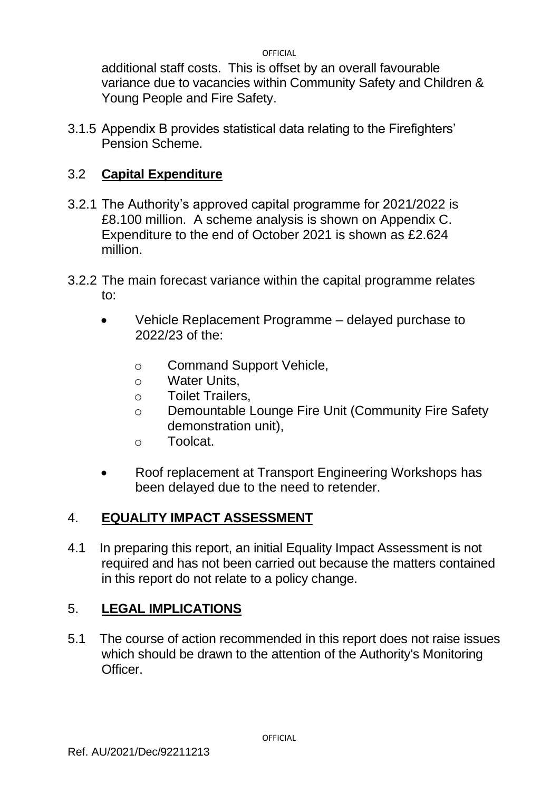OFFICIAL

additional staff costs. This is offset by an overall favourable variance due to vacancies within Community Safety and Children & Young People and Fire Safety.

3.1.5 Appendix B provides statistical data relating to the Firefighters' Pension Scheme.

## 3.2 **Capital Expenditure**

- 3.2.1 The Authority's approved capital programme for 2021/2022 is £8.100 million. A scheme analysis is shown on Appendix C. Expenditure to the end of October 2021 is shown as £2.624 million.
- 3.2.2 The main forecast variance within the capital programme relates to:
	- Vehicle Replacement Programme delayed purchase to 2022/23 of the:
		- o Command Support Vehicle,
		- o Water Units,
		- o Toilet Trailers,
		- o Demountable Lounge Fire Unit (Community Fire Safety demonstration unit),
		- o Toolcat.
	- Roof replacement at Transport Engineering Workshops has been delayed due to the need to retender.

## 4. **EQUALITY IMPACT ASSESSMENT**

4.1 In preparing this report, an initial Equality Impact Assessment is not required and has not been carried out because the matters contained in this report do not relate to a policy change.

## 5. **LEGAL IMPLICATIONS**

5.1 The course of action recommended in this report does not raise issues which should be drawn to the attention of the Authority's Monitoring Officer.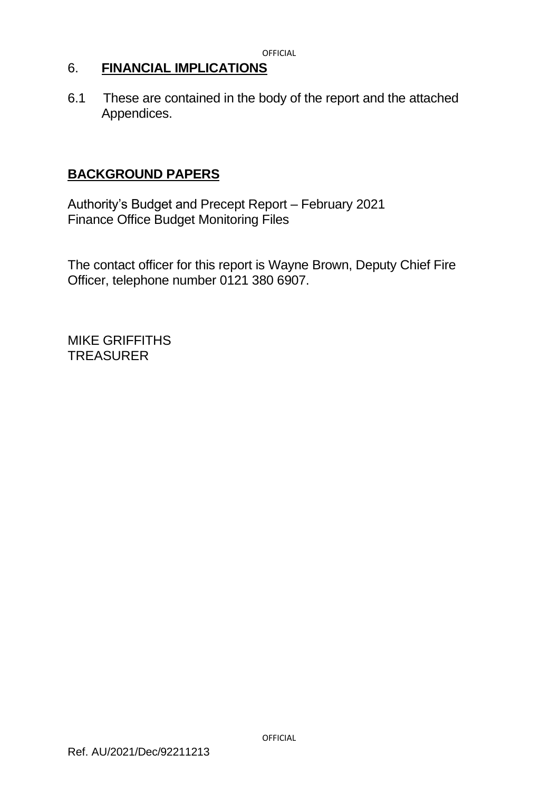## 6. **FINANCIAL IMPLICATIONS**

6.1 These are contained in the body of the report and the attached Appendices.

## **BACKGROUND PAPERS**

Authority's Budget and Precept Report – February 2021 Finance Office Budget Monitoring Files

The contact officer for this report is Wayne Brown, Deputy Chief Fire Officer, telephone number 0121 380 6907.

MIKE GRIFFITHS **TREASURER**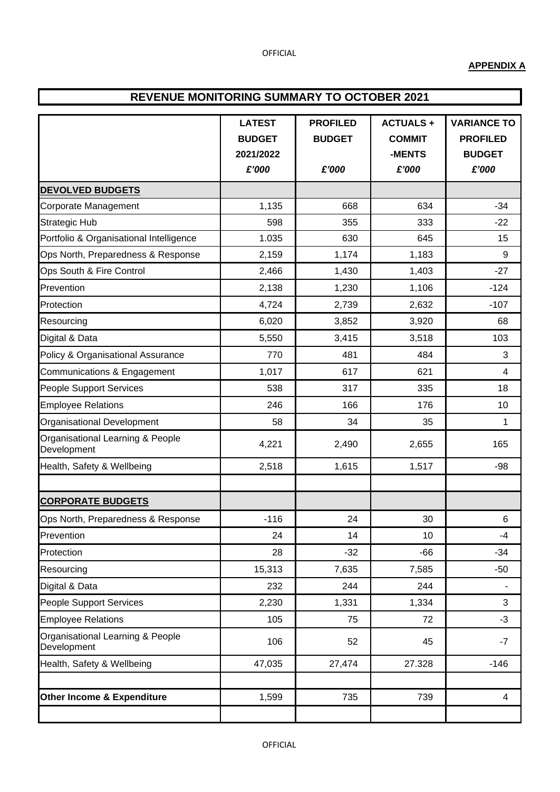#### **APPENDIX A**

#### **REVENUE MONITORING SUMMARY TO OCTOBER 2021**

|                                                 | <b>LATEST</b> | <b>PROFILED</b> | <b>ACTUALS+</b> | <b>VARIANCE TO</b>      |  |
|-------------------------------------------------|---------------|-----------------|-----------------|-------------------------|--|
|                                                 | <b>BUDGET</b> | <b>BUDGET</b>   | <b>COMMIT</b>   | <b>PROFILED</b>         |  |
|                                                 | 2021/2022     |                 | -MENTS          | <b>BUDGET</b>           |  |
|                                                 | £'000         | £'000           | £'000           | £'000                   |  |
| <b>DEVOLVED BUDGETS</b>                         |               |                 |                 |                         |  |
| Corporate Management                            | 1,135         | 668             | 634             | $-34$                   |  |
| <b>Strategic Hub</b>                            | 598           | 355             | 333             | $-22$                   |  |
| Portfolio & Organisational Intelligence         | 1.035         | 630             | 645             | 15                      |  |
| Ops North, Preparedness & Response              | 2,159         | 1,174           | 1,183           | 9                       |  |
| Ops South & Fire Control                        | 2,466         | 1,430           | 1,403           | $-27$                   |  |
| Prevention                                      | 2,138         | 1,230           | 1,106           | $-124$                  |  |
| Protection                                      | 4,724         | 2,739           | 2,632           | $-107$                  |  |
| Resourcing                                      | 6,020         | 3,852           | 3,920           | 68                      |  |
| Digital & Data                                  | 5,550         | 3,415           | 3,518           | 103                     |  |
| Policy & Organisational Assurance               | 770           | 481             | 484             | 3                       |  |
| Communications & Engagement                     | 1,017         | 617             | 621             | $\overline{\mathbf{4}}$ |  |
| People Support Services                         | 538           | 317             | 335             | 18                      |  |
| <b>Employee Relations</b>                       | 246           | 166             | 176             | 10                      |  |
| Organisational Development                      | 58            | 34              | 35              | $\mathbf{1}$            |  |
| Organisational Learning & People<br>Development | 4,221         | 2,490           | 2,655           | 165                     |  |
| Health, Safety & Wellbeing                      | 2,518         | 1,615           | 1,517           | $-98$                   |  |
|                                                 |               |                 |                 |                         |  |
| <b>CORPORATE BUDGETS</b>                        |               |                 |                 |                         |  |
| Ops North, Preparedness & Response              | $-116$        | 24              | 30              | 6                       |  |
| Prevention                                      | 24            | 14              | 10              | $-4$                    |  |
| Protection                                      | 28            | $-32$           | $-66$           | $-34$                   |  |
| Resourcing                                      | 15,313        | 7,635           | 7,585           | $-50$                   |  |
| Digital & Data                                  | 232           | 244             | 244             |                         |  |
| People Support Services                         | 2,230         | 1,331           | 1,334           | 3                       |  |
| <b>Employee Relations</b>                       | 105           | 75              | 72              | $-3$                    |  |
| Organisational Learning & People<br>Development | 106           | 52              | 45              | $-7$                    |  |
| Health, Safety & Wellbeing                      | 47,035        | 27,474          | 27.328          | $-146$                  |  |
|                                                 |               |                 |                 |                         |  |
| Other Income & Expenditure                      | 1,599         | 735             | 739             | $\overline{\mathbf{4}}$ |  |
|                                                 |               |                 |                 |                         |  |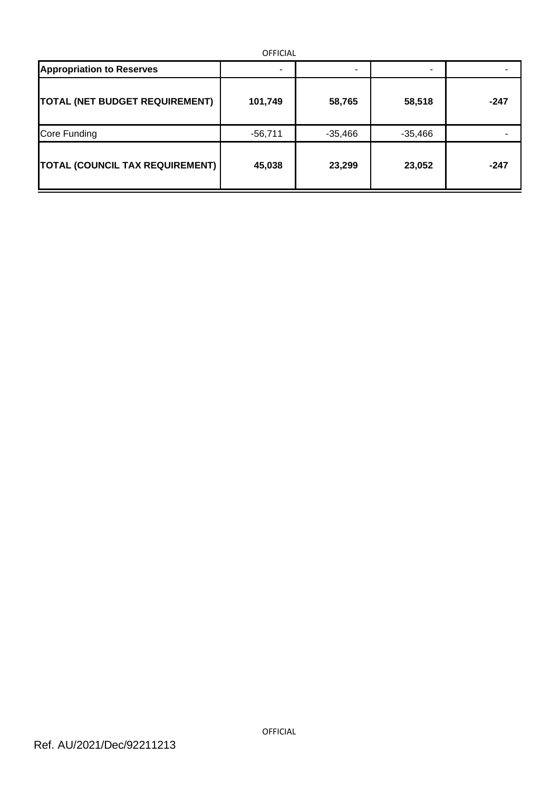| <b>OFFICIAL</b>                        |           |           |           |        |  |  |  |  |
|----------------------------------------|-----------|-----------|-----------|--------|--|--|--|--|
| <b>Appropriation to Reserves</b>       | ۰         | ۰         |           |        |  |  |  |  |
| <b>TOTAL (NET BUDGET REQUIREMENT)</b>  | 101,749   | 58,765    | 58,518    | $-247$ |  |  |  |  |
| Core Funding                           | $-56,711$ | $-35,466$ | $-35,466$ |        |  |  |  |  |
| <b>TOTAL (COUNCIL TAX REQUIREMENT)</b> | 45,038    | 23,299    | 23,052    | $-247$ |  |  |  |  |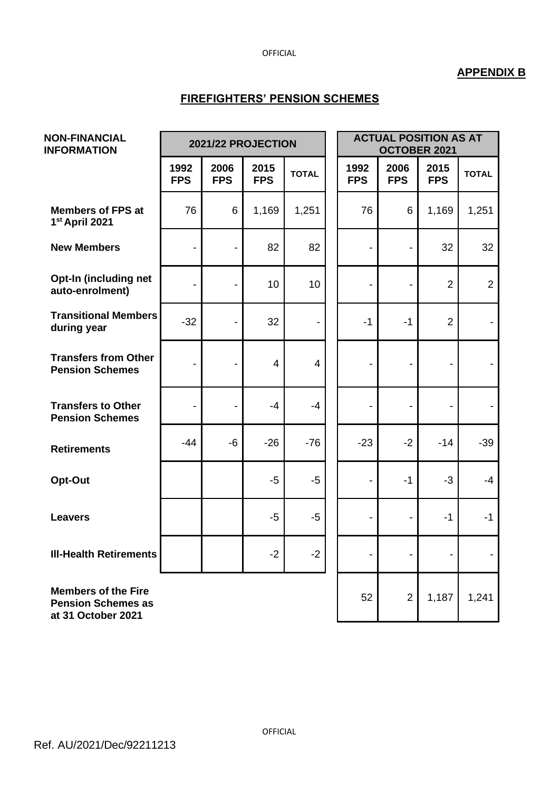#### OFFICIAL

## **APPENDIX B**

#### **FIREFIGHTERS' PENSION SCHEMES**

| <b>NON-FINANCIAL</b><br><b>INFORMATION</b>                                    |                          | 2021/22 PROJECTION       |                    |              | <b>ACTUAL POSITION AS AT</b><br>OCTOBER 2021 |                              |                          |                |
|-------------------------------------------------------------------------------|--------------------------|--------------------------|--------------------|--------------|----------------------------------------------|------------------------------|--------------------------|----------------|
|                                                                               | 1992<br><b>FPS</b>       | 2006<br><b>FPS</b>       | 2015<br><b>FPS</b> | <b>TOTAL</b> | 1992<br><b>FPS</b>                           | 2006<br><b>FPS</b>           | 2015<br><b>FPS</b>       | <b>TOTAL</b>   |
| <b>Members of FPS at</b><br>1st April 2021                                    | 76                       | 6                        | 1,169              | 1,251        | 76                                           | $\,6$                        | 1,169                    | 1,251          |
| <b>New Members</b>                                                            | $\overline{\phantom{0}}$ |                          | 82                 | 82           |                                              |                              | 32                       | 32             |
| Opt-In (including net<br>auto-enrolment)                                      | $\overline{\phantom{a}}$ | $\overline{\phantom{a}}$ | 10                 | 10           | $\overline{\phantom{0}}$                     | $\overline{\phantom{a}}$     | $\overline{2}$           | $\overline{2}$ |
| <b>Transitional Members</b><br>during year                                    | $-32$                    |                          | 32                 |              | $-1$                                         | $-1$                         | $\overline{2}$           |                |
| <b>Transfers from Other</b><br><b>Pension Schemes</b>                         | $\overline{\phantom{a}}$ | $\overline{\phantom{a}}$ | 4                  | 4            | -                                            | $\overline{\phantom{a}}$     | $\overline{\phantom{a}}$ |                |
| <b>Transfers to Other</b><br><b>Pension Schemes</b>                           |                          |                          | -4                 | $-4$         |                                              |                              |                          |                |
| <b>Retirements</b>                                                            | $-44$                    | $-6$                     | $-26$              | $-76$        | $-23$                                        | $-2$                         | $-14$                    | $-39$          |
| Opt-Out                                                                       |                          |                          | $-5$               | $-5$         | -                                            | $-1$                         | $-3$                     | $-4$           |
| <b>Leavers</b>                                                                |                          |                          | $-5$               | $-5$         |                                              | $\qquad \qquad \blacksquare$ | $-1$                     | $-1$           |
| <b>III-Health Retirements</b>                                                 |                          |                          | $-2$               | $-2$         |                                              |                              |                          |                |
| <b>Members of the Fire</b><br><b>Pension Schemes as</b><br>at 31 October 2021 |                          |                          |                    |              | 52                                           | $\overline{2}$               | 1,187                    | 1,241          |